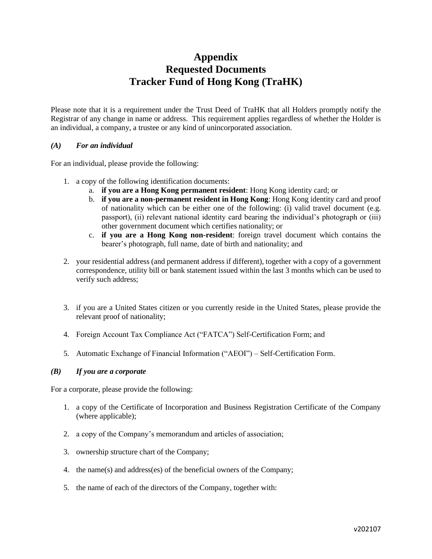# **Appendix Requested Documents Tracker Fund of Hong Kong (TraHK)**

Please note that it is a requirement under the Trust Deed of TraHK that all Holders promptly notify the Registrar of any change in name or address. This requirement applies regardless of whether the Holder is an individual, a company, a trustee or any kind of unincorporated association.

#### *(A) For an individual*

For an individual, please provide the following:

- 1. a copy of the following identification documents:
	- a. **if you are a Hong Kong permanent resident**: Hong Kong identity card; or
	- b. **if you are a non-permanent resident in Hong Kong**: Hong Kong identity card and proof of nationality which can be either one of the following: (i) valid travel document (e.g. passport), (ii) relevant national identity card bearing the individual's photograph or (iii) other government document which certifies nationality; or
	- c. **if you are a Hong Kong non-resident**: foreign travel document which contains the bearer's photograph, full name, date of birth and nationality; and
- 2. your residential address (and permanent address if different), together with a copy of a government correspondence, utility bill or bank statement issued within the last 3 months which can be used to verify such address;
- 3. if you are a United States citizen or you currently reside in the United States, please provide the relevant proof of nationality;
- 4. Foreign Account Tax Compliance Act ("FATCA") Self-Certification Form; and
- 5. Automatic Exchange of Financial Information ("AEOI") Self-Certification Form.

#### *(B) If you are a corporate*

For a corporate, please provide the following:

- 1. a copy of the Certificate of Incorporation and Business Registration Certificate of the Company (where applicable);
- 2. a copy of the Company's memorandum and articles of association;
- 3. ownership structure chart of the Company;
- 4. the name(s) and address(es) of the beneficial owners of the Company;
- 5. the name of each of the directors of the Company, together with: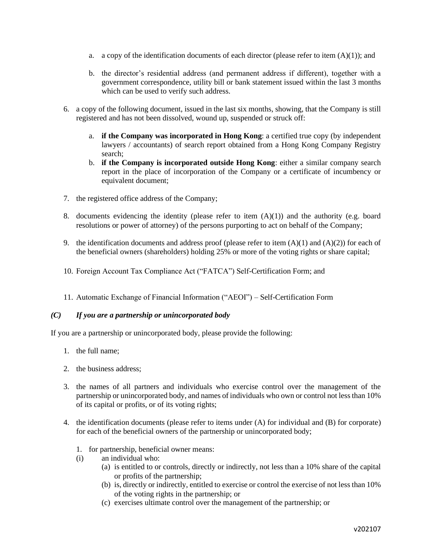- a. a copy of the identification documents of each director (please refer to item  $(A)(1)$ ); and
- b. the director's residential address (and permanent address if different), together with a government correspondence, utility bill or bank statement issued within the last 3 months which can be used to verify such address.
- 6. a copy of the following document, issued in the last six months, showing, that the Company is still registered and has not been dissolved, wound up, suspended or struck off:
	- a. **if the Company was incorporated in Hong Kong**: a certified true copy (by independent lawyers / accountants) of search report obtained from a Hong Kong Company Registry search;
	- b. **if the Company is incorporated outside Hong Kong**: either a similar company search report in the place of incorporation of the Company or a certificate of incumbency or equivalent document;
- 7. the registered office address of the Company;
- 8. documents evidencing the identity (please refer to item  $(A)(1)$ ) and the authority (e.g. board resolutions or power of attorney) of the persons purporting to act on behalf of the Company;
- 9. the identification documents and address proof (please refer to item  $(A)(1)$  and  $(A)(2)$ ) for each of the beneficial owners (shareholders) holding 25% or more of the voting rights or share capital;
- 10. Foreign Account Tax Compliance Act ("FATCA") Self-Certification Form; and
- 11. Automatic Exchange of Financial Information ("AEOI") Self-Certification Form

## *(C) If you are a partnership or unincorporated body*

If you are a partnership or unincorporated body, please provide the following:

- 1. the full name;
- 2. the business address;
- 3. the names of all partners and individuals who exercise control over the management of the partnership or unincorporated body, and names of individuals who own or control not less than 10% of its capital or profits, or of its voting rights;
- 4. the identification documents (please refer to items under (A) for individual and (B) for corporate) for each of the beneficial owners of the partnership or unincorporated body;
	- 1. for partnership, beneficial owner means:
	- (i) an individual who:
		- (a) is entitled to or controls, directly or indirectly, not less than a 10% share of the capital or profits of the partnership;
		- (b) is, directly or indirectly, entitled to exercise or control the exercise of not less than 10% of the voting rights in the partnership; or
		- (c) exercises ultimate control over the management of the partnership; or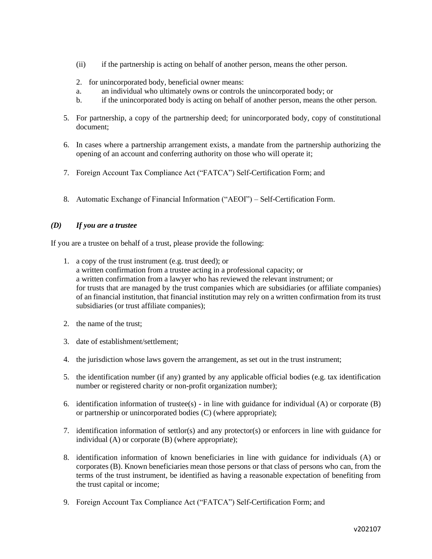- (ii) if the partnership is acting on behalf of another person, means the other person.
- 2. for unincorporated body, beneficial owner means:
- a. an individual who ultimately owns or controls the unincorporated body; or
- b. if the unincorporated body is acting on behalf of another person, means the other person.
- 5. For partnership, a copy of the partnership deed; for unincorporated body, copy of constitutional document;
- 6. In cases where a partnership arrangement exists, a mandate from the partnership authorizing the opening of an account and conferring authority on those who will operate it;
- 7. Foreign Account Tax Compliance Act ("FATCA") Self-Certification Form; and
- 8. Automatic Exchange of Financial Information ("AEOI") Self-Certification Form.

## *(D) If you are a trustee*

If you are a trustee on behalf of a trust, please provide the following:

- 1. a copy of the trust instrument (e.g. trust deed); or a written confirmation from a trustee acting in a professional capacity; or a written confirmation from a lawyer who has reviewed the relevant instrument; or for trusts that are managed by the trust companies which are subsidiaries (or affiliate companies) of an financial institution, that financial institution may rely on a written confirmation from its trust subsidiaries (or trust affiliate companies);
- 2. the name of the trust;
- 3. date of establishment/settlement;
- 4. the jurisdiction whose laws govern the arrangement, as set out in the trust instrument;
- 5. the identification number (if any) granted by any applicable official bodies (e.g. tax identification number or registered charity or non-profit organization number);
- 6. identification information of trustee(s) in line with guidance for individual (A) or corporate (B) or partnership or unincorporated bodies (C) (where appropriate);
- 7. identification information of settlor(s) and any protector(s) or enforcers in line with guidance for individual (A) or corporate (B) (where appropriate);
- 8. identification information of known beneficiaries in line with guidance for individuals (A) or corporates (B). Known beneficiaries mean those persons or that class of persons who can, from the terms of the trust instrument, be identified as having a reasonable expectation of benefiting from the trust capital or income;
- 9. Foreign Account Tax Compliance Act ("FATCA") Self-Certification Form; and